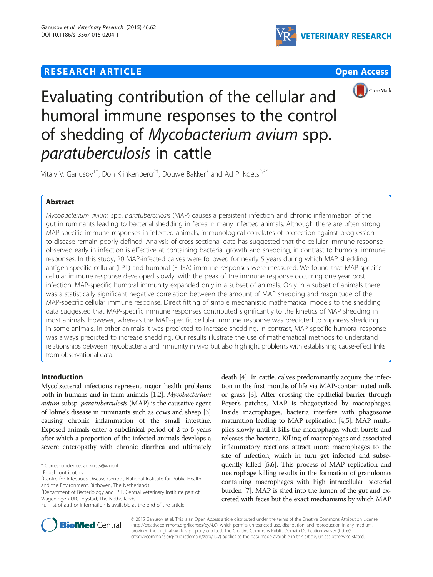# **RESEARCH ARTICLE Example 2014 12:30 The Contract of Contract ACCESS**





Evaluating contribution of the cellular and humoral immune responses to the control of shedding of Mycobacterium avium spp. paratuberculosis in cattle

Vitaly V. Ganusov<sup>1†</sup>, Don Klinkenberg<sup>2†</sup>, Douwe Bakker<sup>3</sup> and Ad P. Koets<sup>2,3\*</sup>

# Abstract

Mycobacterium avium spp. paratuberculosis (MAP) causes a persistent infection and chronic inflammation of the gut in ruminants leading to bacterial shedding in feces in many infected animals. Although there are often strong MAP-specific immune responses in infected animals, immunological correlates of protection against progression to disease remain poorly defined. Analysis of cross-sectional data has suggested that the cellular immune response observed early in infection is effective at containing bacterial growth and shedding, in contrast to humoral immune responses. In this study, 20 MAP-infected calves were followed for nearly 5 years during which MAP shedding, antigen-specific cellular (LPT) and humoral (ELISA) immune responses were measured. We found that MAP-specific cellular immune response developed slowly, with the peak of the immune response occurring one year post infection. MAP-specific humoral immunity expanded only in a subset of animals. Only in a subset of animals there was a statistically significant negative correlation between the amount of MAP shedding and magnitude of the MAP-specific cellular immune response. Direct fitting of simple mechanistic mathematical models to the shedding data suggested that MAP-specific immune responses contributed significantly to the kinetics of MAP shedding in most animals. However, whereas the MAP-specific cellular immune response was predicted to suppress shedding in some animals, in other animals it was predicted to increase shedding. In contrast, MAP-specific humoral response was always predicted to increase shedding. Our results illustrate the use of mathematical methods to understand relationships between mycobacteria and immunity in vivo but also highlight problems with establishing cause-effect links from observational data.

# Introduction

Mycobacterial infections represent major health problems both in humans and in farm animals [\[1,2\]](#page-11-0). Mycobacterium avium subsp. paratuberculosis (MAP) is the causative agent of Johne's disease in ruminants such as cows and sheep [[3](#page-11-0)] causing chronic inflammation of the small intestine. Exposed animals enter a subclinical period of 2 to 5 years after which a proportion of the infected animals develops a severe enteropathy with chronic diarrhea and ultimately

death [\[4](#page-11-0)]. In cattle, calves predominantly acquire the infection in the first months of life via MAP-contaminated milk or grass [[3](#page-11-0)]. After crossing the epithelial barrier through Peyer's patches, MAP is phagocytized by macrophages. Inside macrophages, bacteria interfere with phagosome maturation leading to MAP replication [\[4,5](#page-11-0)]. MAP multiplies slowly until it kills the macrophage, which bursts and releases the bacteria. Killing of macrophages and associated inflammatory reactions attract more macrophages to the site of infection, which in turn get infected and subsequently killed [\[5,6\]](#page-11-0). This process of MAP replication and macrophage killing results in the formation of granulomas containing macrophages with high intracellular bacterial burden [[7](#page-11-0)]. MAP is shed into the lumen of the gut and excreted with feces but the exact mechanisms by which MAP



© 2015 Ganusov et al. This is an Open Access article distributed under the terms of the Creative Commons Attribution License [\(http://creativecommons.org/licenses/by/4.0\)](http://creativecommons.org/licenses/by/4.0), which permits unrestricted use, distribution, and reproduction in any medium, provided the original work is properly credited. The Creative Commons Public Domain Dedication waiver [\(http://](http://creativecommons.org/publicdomain/zero/1.0/) [creativecommons.org/publicdomain/zero/1.0/\)](http://creativecommons.org/publicdomain/zero/1.0/) applies to the data made available in this article, unless otherwise stated.

<sup>\*</sup> Correspondence: [ad.koets@wur.nl](mailto:ad.koets@wur.nl) †

<sup>&</sup>lt;sup>+</sup>Equal contributors

<sup>&</sup>lt;sup>2</sup>Centre for Infectious Disease Control, National Institute for Public Health and the Environment, Bilthoven, The Netherlands

<sup>&</sup>lt;sup>3</sup>Department of Bacteriology and TSE, Central Veterinary Institute part of Wageningen UR, Lelystad, The Netherlands

Full list of author information is available at the end of the article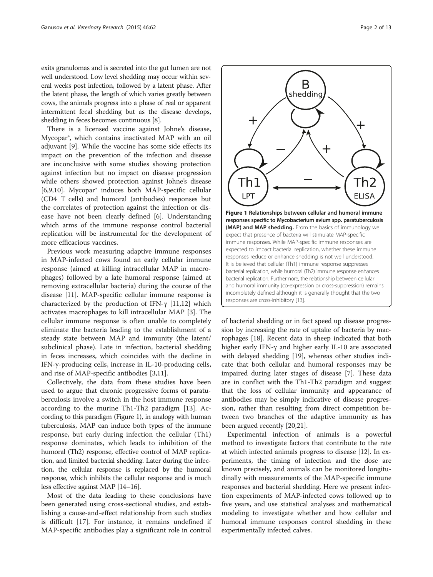exits granulomas and is secreted into the gut lumen are not well understood. Low level shedding may occur within several weeks post infection, followed by a latent phase. After the latent phase, the length of which varies greatly between cows, the animals progress into a phase of real or apparent intermittent fecal shedding but as the disease develops, shedding in feces becomes continuous [\[8](#page-11-0)].

There is a licensed vaccine against Johne's disease, Mycopar®, which contains inactivated MAP with an oil adjuvant [\[9](#page-11-0)]. While the vaccine has some side effects its impact on the prevention of the infection and disease are inconclusive with some studies showing protection against infection but no impact on disease progression while others showed protection against Johne's disease [[6,9,10\]](#page-11-0). Mycopar® induces both MAP-specific cellular (CD4 T cells) and humoral (antibodies) responses but the correlates of protection against the infection or disease have not been clearly defined [[6\]](#page-11-0). Understanding which arms of the immune response control bacterial replication will be instrumental for the development of more efficacious vaccines.

Previous work measuring adaptive immune responses in MAP-infected cows found an early cellular immune response (aimed at killing intracellular MAP in macrophages) followed by a late humoral response (aimed at removing extracellular bacteria) during the course of the disease [[11\]](#page-11-0). MAP-specific cellular immune response is characterized by the production of IFN- $\gamma$  [\[11,12](#page-11-0)] which activates macrophages to kill intracellular MAP [[3\]](#page-11-0). The cellular immune response is often unable to completely eliminate the bacteria leading to the establishment of a steady state between MAP and immunity (the latent/ subclinical phase). Late in infection, bacterial shedding in feces increases, which coincides with the decline in IFN-γ-producing cells, increase in IL-10-producing cells, and rise of MAP-specific antibodies [\[3,11](#page-11-0)].

Collectively, the data from these studies have been used to argue that chronic progressive forms of paratuberculosis involve a switch in the host immune response according to the murine Th1-Th2 paradigm [[13](#page-11-0)]. According to this paradigm (Figure 1), in analogy with human tuberculosis, MAP can induce both types of the immune response, but early during infection the cellular (Th1) response dominates, which leads to inhibition of the humoral (Th2) response, effective control of MAP replication, and limited bacterial shedding. Later during the infection, the cellular response is replaced by the humoral response, which inhibits the cellular response and is much less effective against MAP [\[14](#page-11-0)–[16\]](#page-11-0).

Most of the data leading to these conclusions have been generated using cross-sectional studies, and establishing a cause-and-effect relationship from such studies is difficult [[17](#page-11-0)]. For instance, it remains undefined if MAP-specific antibodies play a significant role in control



of bacterial shedding or in fact speed up disease progression by increasing the rate of uptake of bacteria by macrophages [\[18](#page-11-0)]. Recent data in sheep indicated that both higher early IFN-γ and higher early IL-10 are associated with delayed shedding [\[19\]](#page-11-0), whereas other studies indicate that both cellular and humoral responses may be impaired during later stages of disease [[7\]](#page-11-0). These data are in conflict with the Th1-Th2 paradigm and suggest that the loss of cellular immunity and appearance of antibodies may be simply indicative of disease progression, rather than resulting from direct competition between two branches of the adaptive immunity as has been argued recently [\[20,21](#page-11-0)].

Experimental infection of animals is a powerful method to investigate factors that contribute to the rate at which infected animals progress to disease [[12\]](#page-11-0). In experiments, the timing of infection and the dose are known precisely, and animals can be monitored longitudinally with measurements of the MAP-specific immune responses and bacterial shedding. Here we present infection experiments of MAP-infected cows followed up to five years, and use statistical analyses and mathematical modeling to investigate whether and how cellular and humoral immune responses control shedding in these experimentally infected calves.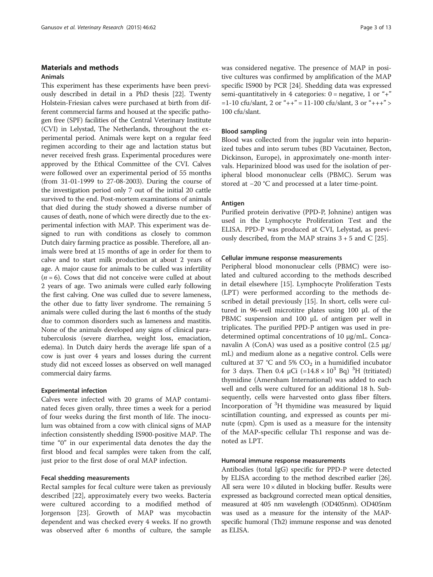# <span id="page-2-0"></span>Materials and methods

# Animals

This experiment has these experiments have been previously described in detail in a PhD thesis [\[22](#page-11-0)]. Twenty Holstein-Friesian calves were purchased at birth from different commercial farms and housed at the specific pathogen free (SPF) facilities of the Central Veterinary Institute (CVI) in Lelystad, The Netherlands, throughout the experimental period. Animals were kept on a regular feed regimen according to their age and lactation status but never received fresh grass. Experimental procedures were approved by the Ethical Committee of the CVI. Calves were followed over an experimental period of 55 months (from 31-01-1999 to 27-08-2003). During the course of the investigation period only 7 out of the initial 20 cattle survived to the end. Post-mortem examinations of animals that died during the study showed a diverse number of causes of death, none of which were directly due to the experimental infection with MAP. This experiment was designed to run with conditions as closely to common Dutch dairy farming practice as possible. Therefore, all animals were bred at 15 months of age in order for them to calve and to start milk production at about 2 years of age. A major cause for animals to be culled was infertility  $(n = 6)$ . Cows that did not conceive were culled at about 2 years of age. Two animals were culled early following the first calving. One was culled due to severe lameness, the other due to fatty liver syndrome. The remaining 5 animals were culled during the last 6 months of the study due to common disorders such as lameness and mastitis. None of the animals developed any signs of clinical paratuberculosis (severe diarrhea, weight loss, emaciation, edema). In Dutch dairy herds the average life span of a cow is just over 4 years and losses during the current study did not exceed losses as observed on well managed commercial dairy farms.

#### Experimental infection

Calves were infected with 20 grams of MAP contaminated feces given orally, three times a week for a period of four weeks during the first month of life. The inoculum was obtained from a cow with clinical signs of MAP infection consistently shedding IS900-positive MAP. The time "0" in our experimental data denotes the day the first blood and fecal samples were taken from the calf, just prior to the first dose of oral MAP infection.

#### Fecal shedding measurements

Rectal samples for fecal culture were taken as previously described [\[22](#page-11-0)], approximately every two weeks. Bacteria were cultured according to a modified method of Jorgenson [\[23\]](#page-11-0). Growth of MAP was mycobactin dependent and was checked every 4 weeks. If no growth was observed after 6 months of culture, the sample

was considered negative. The presence of MAP in positive cultures was confirmed by amplification of the MAP specific IS900 by PCR [\[24](#page-11-0)]. Shedding data was expressed semi-quantitatively in 4 categories:  $0 =$  negative, 1 or "+"  $=1-10$  cfu/slant, 2 or "++" = 11-100 cfu/slant, 3 or "+++" > 100 cfu/slant.

### Blood sampling

Blood was collected from the jugular vein into heparinized tubes and into serum tubes (BD Vacutainer, Becton, Dickinson, Europe), in approximately one-month intervals. Heparinized blood was used for the isolation of peripheral blood mononuclear cells (PBMC). Serum was stored at −20 °C and processed at a later time-point.

#### Antigen

Purified protein derivative (PPD-P, Johnine) antigen was used in the Lymphocyte Proliferation Test and the ELISA. PPD-P was produced at CVI, Lelystad, as previously described, from the MAP strains  $3 + 5$  and C [[25\]](#page-12-0).

#### Cellular immune response measurements

Peripheral blood mononuclear cells (PBMC) were isolated and cultured according to the methods described in detail elsewhere [\[15](#page-11-0)]. Lymphocyte Proliferation Tests (LPT) were performed according to the methods described in detail previously [\[15\]](#page-11-0). In short, cells were cultured in 96-well microtitre plates using 100 μL of the PBMC suspension and 100 μL of antigen per well in triplicates. The purified PPD-P antigen was used in predetermined optimal concentrations of 10 μg/mL. Concanavalin A (ConA) was used as a positive control (2.5 μg/ mL) and medium alone as a negative control. Cells were cultured at 37 °C and 5%  $CO<sub>2</sub>$  in a humidified incubator for 3 days. Then 0.4  $\mu$ Ci (=14.8 × 10<sup>3</sup> Bq)<sup>3</sup>H (tritiated) thymidine (Amersham International) was added to each well and cells were cultured for an additional 18 h. Subsequently, cells were harvested onto glass fiber filters. Incorporation of <sup>3</sup> H thymidine was measured by liquid scintillation counting, and expressed as counts per minute (cpm). Cpm is used as a measure for the intensity of the MAP-specific cellular Th1 response and was denoted as LPT.

### Humoral immune response measurements

Antibodies (total IgG) specific for PPD-P were detected by ELISA according to the method described earlier [\[26](#page-12-0)]. All sera were  $10 \times$  diluted in blocking buffer. Results were expressed as background corrected mean optical densities, measured at 405 nm wavelength (OD405nm). OD405nm was used as a measure for the intensity of the MAPspecific humoral (Th2) immune response and was denoted as ELISA.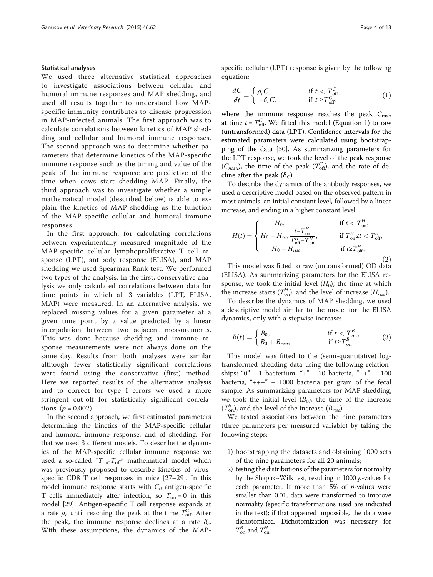#### <span id="page-3-0"></span>Statistical analyses

We used three alternative statistical approaches to investigate associations between cellular and humoral immune responses and MAP shedding, and used all results together to understand how MAPspecific immunity contributes to disease progression in MAP-infected animals. The first approach was to calculate correlations between kinetics of MAP shedding and cellular and humoral immune responses. The second approach was to determine whether parameters that determine kinetics of the MAP-specific immune response such as the timing and value of the peak of the immune response are predictive of the time when cows start shedding MAP. Finally, the third approach was to investigate whether a simple mathematical model (described below) is able to explain the kinetics of MAP shedding as the function of the MAP-specific cellular and humoral immune responses.

In the first approach, for calculating correlations between experimentally measured magnitude of the MAP-specific cellular lymphoproliferative T cell response (LPT), antibody response (ELISA), and MAP shedding we used Spearman Rank test. We performed two types of the analysis. In the first, conservative analysis we only calculated correlations between data for time points in which all 3 variables (LPT, ELISA, MAP) were measured. In an alternative analysis, we replaced missing values for a given parameter at a given time point by a value predicted by a linear interpolation between two adjacent measurements. This was done because shedding and immune response measurements were not always done on the same day. Results from both analyses were similar although fewer statistically significant correlations were found using the conservative (first) method. Here we reported results of the alternative analysis and to correct for type I errors we used a more stringent cut-off for statistically significant correlations ( $p = 0.002$ ).

In the second approach, we first estimated parameters determining the kinetics of the MAP-specific cellular and humoral immune response, and of shedding. For that we used 3 different models. To describe the dynamics of the MAP-specific cellular immune response we used a so-called  $\emph{``}T_{\emph{on}}\emph{-}T_{\emph{off}}\emph{''}$  mathematical model which was previously proposed to describe kinetics of virusspecific CD8 T cell responses in mice [\[27](#page-12-0)–[29\]](#page-12-0). In this model immune response starts with  $C_0$  antigen-specific T cells immediately after infection, so  $T_{on} = 0$  in this model [\[29](#page-12-0)]. Antigen-specific T cell response expands at a rate  $\rho_c$  until reaching the peak at the time  $T_{\text{off}}^C$ . After the peak, the immune response declines at a rate  $\delta_c$ . With these assumptions, the dynamics of the MAP- specific cellular (LPT) response is given by the following equation:

$$
\frac{dC}{dt} = \begin{cases} \rho_c C, & \text{if } t < T_{\text{off}}^C, \\ -\delta_c C, & \text{if } t \ge T_{\text{off}}^C, \end{cases}
$$
(1)

where the immune response reaches the peak  $C_{\text{max}}$ at time  $t = T_{\text{off}}^C$ . We fitted this model (Equation 1) to raw (untransformed) data (LPT). Confidence intervals for the estimated parameters were calculated using bootstrapping of the data [\[30\]](#page-12-0). As summarizing parameters for the LPT response, we took the level of the peak response  $(C_{max})$ , the time of the peak  $(T_{\text{off}}^C)$ , and the rate of decline after the peak ( $\delta_C$ ).

To describe the dynamics of the antibody responses, we used a descriptive model based on the observed pattern in most animals: an initial constant level, followed by a linear increase, and ending in a higher constant level:

$$
H(t) = \begin{cases} H_0, & \text{if } t < T_{\text{on}}^H, \\ H_0 + H_{rise} \frac{t - T_{\text{on}}^H}{T_{\text{off}}^H - T_{\text{on}}^H}, & \text{if } T_{\text{on}}^H \leq t < T_{\text{off}}^H, \\ H_0 + H_{rise}, & \text{if } t \geq T_{\text{off}}^H. \end{cases}
$$
 (2)

This model was fitted to raw (untransformed) OD data (ELISA). As summarizing parameters for the ELISA response, we took the initial level  $(H_0)$ , the time at which the increase starts  $(T_{\text{on}}^H)$ , and the level of increase  $(H_{rise})$ .

To describe the dynamics of MAP shedding, we used a descriptive model similar to the model for the ELISA dynamics, only with a stepwise increase:

$$
B(t) = \begin{cases} B_0, & \text{if } t < T_{\text{on}}^B, \\ B_0 + B_{\text{rise}}, & \text{if } t \ge T_{\text{on}}^B. \end{cases} \tag{3}
$$

This model was fitted to the (semi-quantitative) logtransformed shedding data using the following relationships: "0" - 1 bacterium, "+" - 10 bacteria, "++" – 100 bacteria, " $++$ " – 1000 bacteria per gram of the fecal sample. As summarizing parameters for MAP shedding, we took the initial level  $(B_0)$ , the time of the increase  $(T_{\text{on}}^{B})$ , and the level of the increase  $(B_{rise})$ .

We tested associations between the nine parameters (three parameters per measured variable) by taking the following steps:

- 1) bootstrapping the datasets and obtaining 1000 sets of the nine parameters for all 20 animals;
- 2) testing the distributions of the parameters for normality by the Shapiro-Wilk test, resulting in 1000 p-values for each parameter. If more than  $5\%$  of p-values were smaller than 0.01, data were transformed to improve normality (specific transformations used are indicated in the text); if that appeared impossible, the data were dichotomized. Dichotomization was necessary for  $T_{\text{on}}^B$  and  $T_{\text{on}}^H$ ;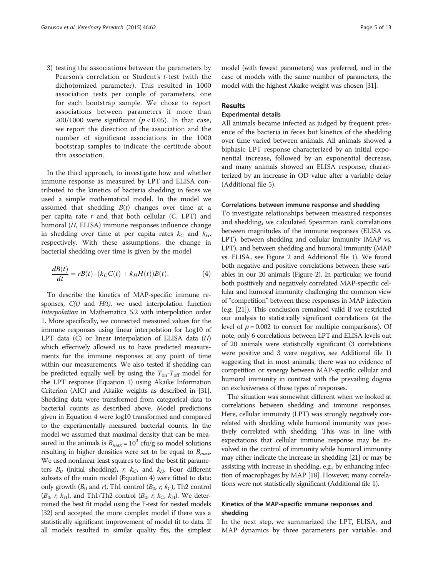<span id="page-4-0"></span>3) testing the associations between the parameters by Pearson's correlation or Student's t-test (with the dichotomized parameter). This resulted in 1000 association tests per couple of parameters, one for each bootstrap sample. We chose to report associations between parameters if more than 200/1000 were significant ( $p < 0.05$ ). In that case, we report the direction of the association and the number of significant associations in the 1000 bootstrap samples to indicate the certitude about this association.

In the third approach, to investigate how and whether immune response as measured by LPT and ELISA contributed to the kinetics of bacteria shedding in feces we used a simple mathematical model. In the model we assumed that shedding  $B(t)$  changes over time at a per capita rate  $r$  and that both cellular  $(C, LPT)$  and humoral (H, ELISA) immune responses influence change in shedding over time at per capita rates  $k<sub>C</sub>$  and  $k<sub>H</sub>$ , respectively. With these assumptions, the change in bacterial shedding over time is given by the model

$$
\frac{dB(t)}{dt} = rB(t) - (k_C C(t) + k_H H(t))B(t). \tag{4}
$$

To describe the kinetics of MAP-specific immune responses,  $C(t)$  and  $H(t)$ , we used interpolation function Interpolation in Mathematica 5.2 with interpolation order 1. More specifically, we connected measured values for the immune responses using linear interpolation for Log10 of LPT data  $(C)$  or linear interpolation of ELISA data  $(H)$ which effectively allowed us to have predicted measurements for the immune responses at any point of time within our measurements. We also tested if shedding can be predicted equally well by using the  $T_{on} - T_{off}$  model for the LPT response (Equation [1\)](#page-3-0) using Akaike Information Criterion (AIC) and Akaike weights as described in [\[31](#page-12-0)]. Shedding data were transformed from categorical data to bacterial counts as described above. Model predictions given in Equation 4 were log10 transformed and compared to the experimentally measured bacterial counts. In the model we assumed that maximal density that can be measured in the animals is  $B_{max} = 10^3$  cfu/g so model solutions resulting in higher densities were set to be equal to  $B_{max}$ . We used nonlinear least squares to find the best fit parameters  $B_0$  (initial shedding), r,  $k_C$ , and  $k_H$ . Four different subsets of the main model (Equation 4) were fitted to data: only growth ( $B_0$  and r), Th1 control ( $B_0$ , r,  $k_C$ ), Th2 control  $(B_0, r, k_H)$ , and Th1/Th2 control  $(B_0, r, k_C, k_H)$ . We determined the best fit model using the F-test for nested models [[32](#page-12-0)] and accepted the more complex model if there was a statistically significant improvement of model fit to data. If all models resulted in similar quality fits, the simplest model (with fewest parameters) was preferred, and in the case of models with the same number of parameters, the model with the highest Akaike weight was chosen [\[31\]](#page-12-0).

#### Results

## Experimental details

All animals became infected as judged by frequent presence of the bacteria in feces but kinetics of the shedding over time varied between animals. All animals showed a biphasic LPT response characterized by an initial exponential increase, followed by an exponential decrease, and many animals showed an ELISA response, characterized by an increase in OD value after a variable delay (Additional file [5](#page-11-0)).

#### Correlations between immune response and shedding

To investigate relationships between measured responses and shedding, we calculated Spearman rank correlations between magnitudes of the immune responses (ELISA vs. LPT), between shedding and cellular immunity (MAP vs. LPT), and between shedding and humoral immunity (MAP vs. ELISA, see Figure [2](#page-5-0) and Additional file [1](#page-10-0)). We found both negative and positive correlations between these variables in our 20 animals (Figure [2](#page-5-0)). In particular, we found both positively and negatively correlated MAP-specific cellular and humoral immunity challenging the common view of "competition" between these responses in MAP infection (e.g. [\[21\]](#page-11-0)). This conclusion remained valid if we restricted our analysis to statistically significant correlations (at the level of  $p = 0.002$  to correct for multiple comparisons). Of note, only 6 correlations between LPT and ELISA levels out of 20 animals were statistically significant (3 correlations were positive and 3 were negative, see Additional file [1](#page-10-0)) suggesting that in most animals, there was no evidence of competition or synergy between MAP-specific cellular and humoral immunity in contrast with the prevailing dogma on exclusiveness of these types of responses.

The situation was somewhat different when we looked at correlations between shedding and immune responses. Here, cellular immunity (LPT) was strongly negatively correlated with shedding while humoral immunity was positively correlated with shedding. This was in line with expectations that cellular immune response may be involved in the control of immunity while humoral immunity may either indicate the increase in shedding [[21\]](#page-11-0) or may be assisting with increase in shedding, e.g., by enhancing infection of macrophages by MAP [\[18](#page-11-0)]. However, many correlations were not statistically significant (Additional file [1\)](#page-10-0).

### Kinetics of the MAP-specific immune responses and shedding

In the next step, we summarized the LPT, ELISA, and MAP dynamics by three parameters per variable, and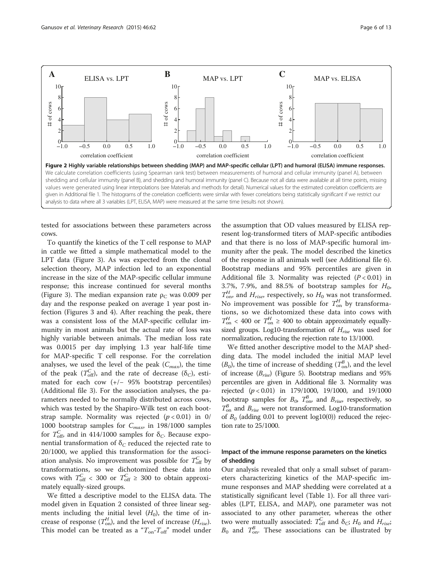<span id="page-5-0"></span>

tested for associations between these parameters across cows.

To quantify the kinetics of the T cell response to MAP in cattle we fitted a simple mathematical model to the LPT data (Figure [3\)](#page-6-0). As was expected from the clonal selection theory, MAP infection led to an exponential increase in the size of the MAP-specific cellular immune response; this increase continued for several months (Figure [3](#page-6-0)). The median expansion rate  $\rho_C$  was 0.009 per day and the response peaked on average 1 year post infection (Figures [3](#page-6-0) and [4](#page-6-0)). After reaching the peak, there was a consistent loss of the MAP-specific cellular immunity in most animals but the actual rate of loss was highly variable between animals. The median loss rate was 0.0015 per day implying 1.3 year half-life time for MAP-specific T cell response. For the correlation analyses, we used the level of the peak  $(C_{max})$ , the time of the peak ( $T_{\text{off}}^C$ ), and the rate of decrease ( $\delta_C$ ), estimated for each cow (+/− 95% bootstrap percentiles) (Additional file [3](#page-11-0)). For the association analyses, the parameters needed to be normally distributed across cows, which was tested by the Shapiro-Wilk test on each bootstrap sample. Normality was rejected  $(p < 0.01)$  in 0/ 1000 bootstrap samples for  $C_{max}$ , in 198/1000 samples for  $T_{\text{off}}^C$ , and in 414/1000 samples for  $\delta_C$ . Because exponential transformation of  $\delta_C$  reduced the rejected rate to 20/1000, we applied this transformation for the association analysis. No improvement was possible for  $T_{\text{off}}^C$  by transformations, so we dichotomized these data into cows with  $T_{\text{off}}^C$  < 300 or  $T_{\text{off}}^C \ge 300$  to obtain approximately equally-sized groups.

We fitted a descriptive model to the ELISA data. The model given in Equation [2](#page-3-0) consisted of three linear segments including the initial level  $(H_0)$ , the time of increase of response  $(T_{\text{on}}^H)$ , and the level of increase  $(H_{rise})$ . This model can be treated as a " $T_{on} - T_{off}$ " model under

the assumption that OD values measured by ELISA represent log-transformed titers of MAP-specific antibodies and that there is no loss of MAP-specific humoral immunity after the peak. The model described the kinetics of the response in all animals well (see Additional file [6](#page-11-0)). Bootstrap medians and 95% percentiles are given in Additional file [3.](#page-11-0) Normality was rejected  $(P < 0.01)$  in 3.7%, 7.9%, and 88.5% of bootstrap samples for  $H_0$ ,  $T_{\text{on}}^H$ , and  $H_{\text{rise}}$ , respectively, so  $H_0$  was not transformed. No improvement was possible for  $T_{\text{on}}^H$  by transformations, so we dichotomized these data into cows with  $T_{\text{on}}^{H}$  < 400 or  $T_{\text{on}}^{H} \ge 400$  to obtain approximately equallysized groups. Log10-transformation of  $H<sub>rise</sub>$  was used for normalization, reducing the rejection rate to 13/1000.

We fitted another descriptive model to the MAP shedding data. The model included the initial MAP level  $(B_0)$ , the time of increase of shedding  $(T_{\text{on}}^B)$ , and the level of increase  $(B_{rise})$  (Figure [5](#page-7-0)). Bootstrap medians and 95% percentiles are given in Additional file [3.](#page-11-0) Normality was rejected (p < 0.01) in 179/1000, 19/1000, and 19/1000 bootstrap samples for  $B_0$ ,  $T_{\text{on}}^B$ , and  $B_{\text{rise}}$ , respectively, so  $T_{\text{on}}^B$  and  $B_{\text{rise}}$  were not transformed. Log10-transformation of  $B_0$  (adding 0.01 to prevent log10(0)) reduced the rejection rate to 25/1000.

### Impact of the immune response parameters on the kinetics of shedding

Our analysis revealed that only a small subset of parameters characterizing kinetics of the MAP-specific immune responses and MAP shedding were correlated at a statistically significant level (Table [1](#page-8-0)). For all three variables (LPT, ELISA, and MAP), one parameter was not associated to any other parameter, whereas the other two were mutually associated:  $T_{\text{off}}^C$  and  $\delta_C$ ;  $H_0$  and  $H_{\text{rise}}$  $B_0$  and  $T_{\text{on}}^B$ . These associations can be illustrated by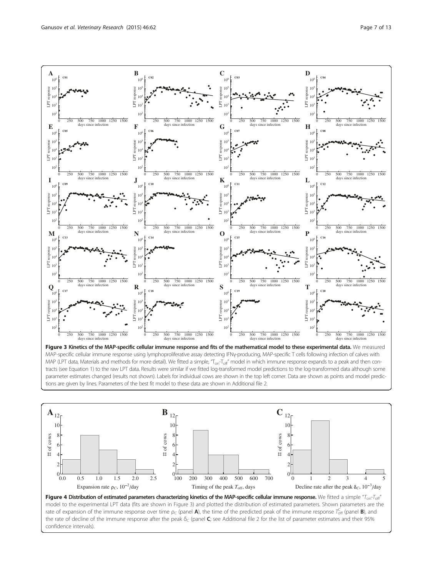<span id="page-6-0"></span>

Figure 3 Kinetics of the MAP-specific cellular immune response and fits of the mathematical model to these experimental data. We measured MAP-specific cellular immune response using lymphoproliferative assay detecting IFNy-producing, MAP-specific T cells following infection of calves with MAP (LPT data, [Materials and methods](#page-2-0) for more detail). We fitted a simple, " $T_{\rm on}T_{\rm off}$ " model in which immune response expands to a peak and then contracts (see Equation [1](#page-3-0)) to the raw LPT data. Results were similar if we fitted log-transformed model predictions to the log-transformed data although some parameter estimates changed (results not shown). Labels for individual cows are shown in the top left corner. Data are shown as points and model predictions are given by lines. Parameters of the best fit model to these data are shown in Additional file [2.](#page-11-0)



model to the experimental LPT data (fits are shown in Figure 3) and plotted the distribution of estimated parameters. Shown parameters are the rate of expansion of the immune response over time  $\rho_C$  (panel **A**), the time of the predicted peak of the immune response  $T_{\rm off}^C$  (panel **B**), and the rate of decline of the immune response after the peak  $\delta_C$  (panel C; see Additional file [2](#page-11-0) for the list of parameter estimates and their 95% confidence intervals).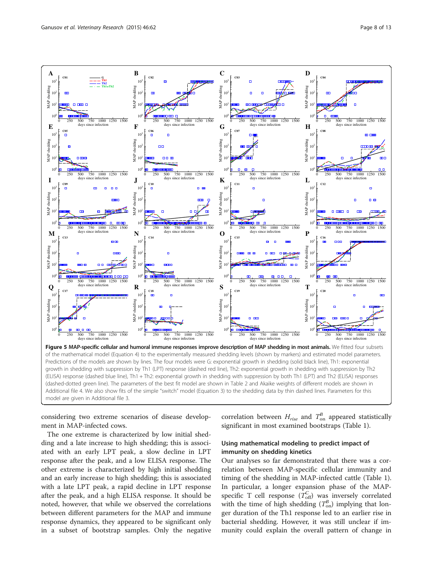<span id="page-7-0"></span>

considering two extreme scenarios of disease development in MAP-infected cows.

The one extreme is characterized by low initial shedding and a late increase to high shedding; this is associated with an early LPT peak, a slow decline in LPT response after the peak, and a low ELISA response. The other extreme is characterized by high initial shedding and an early increase to high shedding; this is associated with a late LPT peak, a rapid decline in LPT response after the peak, and a high ELISA response. It should be noted, however, that while we observed the correlations between different parameters for the MAP and immune response dynamics, they appeared to be significant only in a subset of bootstrap samples. Only the negative correlation between  $H_{rise}$  and  $T_{on}^{B}$  appeared statistically significant in most examined bootstraps (Table [1\)](#page-8-0).

# Using mathematical modeling to predict impact of immunity on shedding kinetics

Our analyses so far demonstrated that there was a correlation between MAP-specific cellular immunity and timing of the shedding in MAP-infected cattle (Table [1](#page-8-0)). In particular, a longer expansion phase of the MAPspecific T cell response  $(T_{\text{off}}^C)$  was inversely correlated with the time of high shedding  $(T_{on}^B)$  implying that longer duration of the Th1 response led to an earlier rise in bacterial shedding. However, it was still unclear if immunity could explain the overall pattern of change in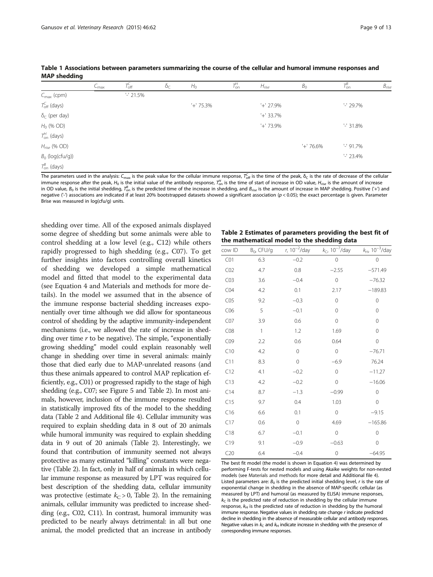|                             | $C_{\text{max}}$ | $T_{\rm off}$ | $\delta_C$ | $H_0$     | $T_{\text{on}}^{\!H}$ | H <sub>rise</sub> | $B_{\rm O}$ | $T_{\rm on}^B$ | B <sub>rise</sub> |
|-----------------------------|------------------|---------------|------------|-----------|-----------------------|-------------------|-------------|----------------|-------------------|
| $C_{\text{max}}$ (cpm)      |                  | $-21.5%$      |            |           |                       |                   |             |                |                   |
| $T_{\text{off}}^{C}$ (days) |                  |               |            | $+ 75.3%$ |                       | $'+27.9\%$        |             | $-29.7\%$      |                   |
| $\delta_C$ (per day)        |                  |               |            |           |                       | $'+$ 33.7%        |             |                |                   |
| $H_0$ (% OD)                |                  |               |            |           |                       | $'+'$ 73.9%       |             | $-31.8\%$      |                   |
| $T_{on}^{H}$ (days)         |                  |               |            |           |                       |                   |             |                |                   |
| $Hrise$ (% OD)              |                  |               |            |           |                       |                   | $+ 76.6\%$  | $-91.7\%$      |                   |
| $B_0$ (log(cfu/g))          |                  |               |            |           |                       |                   |             | $-23.4%$       |                   |
| $T_{\text{on}}^{B}$ (days)  |                  |               |            |           |                       |                   |             |                |                   |

<span id="page-8-0"></span>Table 1 Associations between parameters summarizing the course of the cellular and humoral immune responses and MAP shedding

The parameters used in the analysis:  $\mathcal{C}_{\mathsf{max}}$  is the peak value for the cellular immune response,  $\mathcal{T}_{\mathsf{off}}^{\mathcal{C}}$  is the time of the peak,  $\delta_{\mathcal{C}}$  is the rate of decrease of the cellular immune response after the peak,  $H_0$  is the initial value of the antibody response,  $\mathcal{T}^L_{0n}$  is the time of start of increase in OD value,  $H_{rise}$  is the amount of increase in OD value,  $B_0$  is the initial shedding,  $\mathcal{T}^{\mathcal{B}}_{\rm{on}}$  is the predicted time of the increase in shedding, and  $B_{rise}$  is the amount of increase in MAP shedding. Positive ('+') and negative ( $-$ ) associations are indicated if at least 20% bootstrapped datasets showed a significant association ( $p$  < 0.05); the exact percentage is given. Parameter Brise was measured in log(cfu/g) units.

shedding over time. All of the exposed animals displayed some degree of shedding but some animals were able to control shedding at a low level (e.g., C12) while others rapidly progressed to high shedding (e.g., C07). To get further insights into factors controlling overall kinetics of shedding we developed a simple mathematical model and fitted that model to the experimental data (see Equation [4](#page-4-0) and [Materials and methods](#page-2-0) for more details). In the model we assumed that in the absence of the immune response bacterial shedding increases exponentially over time although we did allow for spontaneous control of shedding by the adaptive immunity-independent mechanisms (i.e., we allowed the rate of increase in shedding over time  $r$  to be negative). The simple, "exponentially growing shedding" model could explain reasonably well change in shedding over time in several animals: mainly those that died early due to MAP-unrelated reasons (and thus these animals appeared to control MAP replication efficiently, e.g., C01) or progressed rapidly to the stage of high shedding (e.g., C07; see Figure [5](#page-7-0) and Table 2). In most animals, however, inclusion of the immune response resulted in statistically improved fits of the model to the shedding data (Table 2 and Additional file [4\)](#page-11-0). Cellular immunity was required to explain shedding data in 8 out of 20 animals while humoral immunity was required to explain shedding data in 9 out of 20 animals (Table 2). Interestingly, we found that contribution of immunity seemed not always protective as many estimated "killing" constants were negative (Table 2). In fact, only in half of animals in which cellular immune response as measured by LPT was required for best description of the shedding data, cellular immunity was protective (estimate  $k<sub>C</sub> > 0$ , Table 2). In the remaining animals, cellular immunity was predicted to increase shedding (e.g., C02, C11). In contrast, humoral immunity was predicted to be nearly always detrimental: in all but one animal, the model predicted that an increase in antibody

Table 2 Estimates of parameters providing the best fit of the mathematical model to the shedding data

| cow ID          | $B_0$ , CFU/g | $r, 10^{-2}/day$ | $k_C$ , 10 <sup>-7</sup> /day | $k_{\text{H}}$ , 10 <sup>-3</sup> /day |
|-----------------|---------------|------------------|-------------------------------|----------------------------------------|
| CO1             | 6.3           | $-0.2$           | $\mathbf 0$                   | 0                                      |
| CO <sub>2</sub> | 4.7           | 0.8              | $-2.55$                       | $-571.49$                              |
| CO <sub>3</sub> | 3.6           | $-0.4$           | $\mathbf 0$                   | $-76.32$                               |
| CO4             | 4.2           | 0.1              | 2.17                          | $-189.83$                              |
| CO <sub>5</sub> | 9.2           | $-0.3$           | $\mathbf 0$                   | $\mathbf{O}$                           |
| CO6             | 5             | $-0.1$           | 0                             | 0                                      |
| CO7             | 3.9           | 0.6              | 0                             | $\mathbf 0$                            |
| CO8             | $\mathbf{1}$  | 1.2              | 1.69                          | $\mathbf 0$                            |
| CO9             | 2.2           | 0.6              | 0.64                          | $\mathbf 0$                            |
| C10             | 4.2           | 0                | $\overline{0}$                | $-76.71$                               |
| C11             | 8.3           | $\mathbf 0$      | $-6.9$                        | 76.24                                  |
| C12             | 4.1           | $-0.2$           | $\mathbf 0$                   | $-11.27$                               |
| C13             | 4.2           | $-0.2$           | $\mathbf 0$                   | $-16.06$                               |
| C14             | 8.7           | $-1.3$           | $-0.99$                       | $\Omega$                               |
| C15             | 9.7           | 0.4              | 1.03                          | $\mathbf 0$                            |
| C16             | 6.6           | 0.1              | $\mathbf 0$                   | $-9.15$                                |
| C17             | 0.6           | 0                | 4.69                          | $-165.86$                              |
| C18             | 6.7           | $-0.1$           | $\mathbf 0$                   | $\mathbf 0$                            |
| C19             | 9.1           | $-0.9$           | $-0.63$                       | 0                                      |
| C20             | 6.4           | $-0.4$           | $\mathbf 0$                   | $-64.95$                               |

The best fit model (the model is shown in Equation [4\)](#page-4-0) was determined by performing F-tests for nested models and using Akaike weights for non-nested models (see [Materials and methods](#page-2-0) for more detail and Additional file [4](#page-11-0)). Listed parameters are:  $B_0$  is the predicted initial shedding level,  $r$  is the rate of exponential change in shedding in the absence of MAP-specific cellular (as measured by LPT) and humoral (as measured by ELISA) immune responses,  $k<sub>C</sub>$  is the predicted rate of reduction in shedding by the cellular immune response,  $k_H$  is the predicted rate of reduction in shedding by the humoral immune response. Negative values in shedding rate change r indicate predicted decline in shedding in the absence of measurable cellular and antibody responses. Negative values in  $k<sub>C</sub>$  and  $k<sub>H</sub>$  indicate increase in shedding with the presence of corresponding immune responses.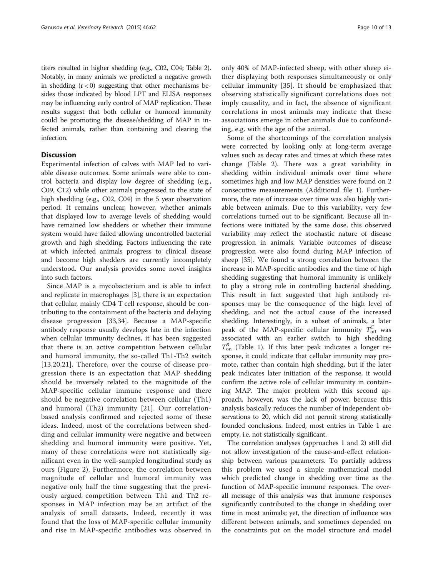titers resulted in higher shedding (e.g., C02, C04; Table [2](#page-8-0)). Notably, in many animals we predicted a negative growth in shedding  $(r < 0)$  suggesting that other mechanisms besides those indicated by blood LPT and ELISA responses may be influencing early control of MAP replication. These results suggest that both cellular or humoral immunity could be promoting the disease/shedding of MAP in infected animals, rather than containing and clearing the infection.

### **Discussion**

Experimental infection of calves with MAP led to variable disease outcomes. Some animals were able to control bacteria and display low degree of shedding (e.g., C09, C12) while other animals progressed to the state of high shedding (e.g., C02, C04) in the 5 year observation period. It remains unclear, however, whether animals that displayed low to average levels of shedding would have remained low shedders or whether their immune system would have failed allowing uncontrolled bacterial growth and high shedding. Factors influencing the rate at which infected animals progress to clinical disease and become high shedders are currently incompletely understood. Our analysis provides some novel insights into such factors.

Since MAP is a mycobacterium and is able to infect and replicate in macrophages [[3\]](#page-11-0), there is an expectation that cellular, mainly CD4 T cell response, should be contributing to the containment of the bacteria and delaying disease progression [[33,34\]](#page-12-0). Because a MAP-specific antibody response usually develops late in the infection when cellular immunity declines, it has been suggested that there is an active competition between cellular and humoral immunity, the so-called Th1-Th2 switch [[13](#page-11-0),[20,21](#page-11-0)]. Therefore, over the course of disease progression there is an expectation that MAP shedding should be inversely related to the magnitude of the MAP-specific cellular immune response and there should be negative correlation between cellular (Th1) and humoral (Th2) immunity [[21](#page-11-0)]. Our correlationbased analysis confirmed and rejected some of these ideas. Indeed, most of the correlations between shedding and cellular immunity were negative and between shedding and humoral immunity were positive. Yet, many of these correlations were not statistically significant even in the well-sampled longitudinal study as ours (Figure [2](#page-5-0)). Furthermore, the correlation between magnitude of cellular and humoral immunity was negative only half the time suggesting that the previously argued competition between Th1 and Th2 responses in MAP infection may be an artifact of the analysis of small datasets. Indeed, recently it was found that the loss of MAP-specific cellular immunity and rise in MAP-specific antibodies was observed in

only 40% of MAP-infected sheep, with other sheep either displaying both responses simultaneously or only cellular immunity [\[35\]](#page-12-0). It should be emphasized that observing statistically significant correlations does not imply causality, and in fact, the absence of significant correlations in most animals may indicate that these associations emerge in other animals due to confounding, e.g. with the age of the animal.

Some of the shortcomings of the correlation analysis were corrected by looking only at long-term average values such as decay rates and times at which these rates change (Table [2](#page-8-0)). There was a great variability in shedding within individual animals over time where sometimes high and low MAP densities were found on 2 consecutive measurements (Additional file [1](#page-10-0)). Furthermore, the rate of increase over time was also highly variable between animals. Due to this variability, very few correlations turned out to be significant. Because all infections were initiated by the same dose, this observed variability may reflect the stochastic nature of disease progression in animals. Variable outcomes of disease progression were also found during MAP infection of sheep [\[35\]](#page-12-0). We found a strong correlation between the increase in MAP-specific antibodies and the time of high shedding suggesting that humoral immunity is unlikely to play a strong role in controlling bacterial shedding. This result in fact suggested that high antibody responses may be the consequence of the high level of shedding, and not the actual cause of the increased shedding. Interestingly, in a subset of animals, a later peak of the MAP-specific cellular immunity  $T_{\text{off}}^C$  was associated with an earlier switch to high shedding  $T_{on}^{B}$  (Table [1\)](#page-8-0). If this later peak indicates a longer response, it could indicate that cellular immunity may promote, rather than contain high shedding, but if the later peak indicates later initiation of the response, it would confirm the active role of cellular immunity in containing MAP. The major problem with this second approach, however, was the lack of power, because this analysis basically reduces the number of independent observations to 20, which did not permit strong statistically founded conclusions. Indeed, most entries in Table [1](#page-8-0) are empty, i.e. not statistically significant.

The correlation analyses (approaches 1 and 2) still did not allow investigation of the cause-and-effect relationship between various parameters. To partially address this problem we used a simple mathematical model which predicted change in shedding over time as the function of MAP-specific immune responses. The overall message of this analysis was that immune responses significantly contributed to the change in shedding over time in most animals; yet, the direction of influence was different between animals, and sometimes depended on the constraints put on the model structure and model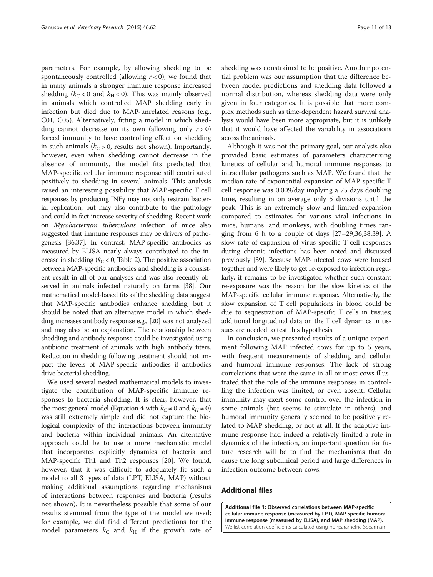<span id="page-10-0"></span>parameters. For example, by allowing shedding to be spontaneously controlled (allowing  $r < 0$ ), we found that in many animals a stronger immune response increased shedding ( $k_C < 0$  and  $k_H < 0$ ). This was mainly observed in animals which controlled MAP shedding early in infection but died due to MAP-unrelated reasons (e.g., C01, C05). Alternatively, fitting a model in which shedding cannot decrease on its own (allowing only  $r > 0$ ) forced immunity to have controlling effect on shedding in such animals ( $k<sub>C</sub> > 0$ , results not shown). Importantly, however, even when shedding cannot decrease in the absence of immunity, the model fits predicted that MAP-specific cellular immune response still contributed positively to shedding in several animals. This analysis raised an interesting possibility that MAP-specific T cell responses by producing INFγ may not only restrain bacterial replication, but may also contribute to the pathology and could in fact increase severity of shedding. Recent work on Mycobacterium tuberculosis infection of mice also suggested that immune responses may be drivers of pathogenesis [\[36,37\]](#page-12-0). In contrast, MAP-specific antibodies as measured by ELISA nearly always contributed to the increase in shedding ( $k<sub>C</sub> < 0$ , Table [2\)](#page-8-0). The positive association between MAP-specific antibodies and shedding is a consistent result in all of our analyses and was also recently observed in animals infected naturally on farms [\[38](#page-12-0)]. Our mathematical model-based fits of the shedding data suggest that MAP-specific antibodies enhance shedding, but it should be noted that an alternative model in which shedding increases antibody response e.g., [\[20\]](#page-11-0) was not analyzed and may also be an explanation. The relationship between shedding and antibody response could be investigated using antibiotic treatment of animals with high antibody titers. Reduction in shedding following treatment should not impact the levels of MAP-specific antibodies if antibodies drive bacterial shedding.

We used several nested mathematical models to investigate the contribution of MAP-specific immune responses to bacteria shedding. It is clear, however, that the most general model (Equation [4](#page-4-0) with  $k<sub>C</sub> \neq 0$  and  $k<sub>H</sub> \neq 0$ ) was still extremely simple and did not capture the biological complexity of the interactions between immunity and bacteria within individual animals. An alternative approach could be to use a more mechanistic model that incorporates explicitly dynamics of bacteria and MAP-specific Th1 and Th2 responses [[20](#page-11-0)]. We found, however, that it was difficult to adequately fit such a model to all 3 types of data (LPT, ELISA, MAP) without making additional assumptions regarding mechanisms of interactions between responses and bacteria (results not shown). It is nevertheless possible that some of our results stemmed from the type of the model we used; for example, we did find different predictions for the model parameters  $k<sub>C</sub>$  and  $k<sub>H</sub>$  if the growth rate of

shedding was constrained to be positive. Another potential problem was our assumption that the difference between model predictions and shedding data followed a normal distribution, whereas shedding data were only given in four categories. It is possible that more complex methods such as time-dependent hazard survival analysis would have been more appropriate, but it is unlikely that it would have affected the variability in associations across the animals.

Although it was not the primary goal, our analysis also provided basic estimates of parameters characterizing kinetics of cellular and humoral immune responses to intracellular pathogens such as MAP. We found that the median rate of exponential expansion of MAP-specific T cell response was 0.009/day implying a 75 days doubling time, resulting in on average only 5 divisions until the peak. This is an extremely slow and limited expansion compared to estimates for various viral infections in mice, humans, and monkeys, with doubling times ranging from 6 h to a couple of days  $[27–29,36,38,39]$  $[27–29,36,38,39]$  $[27–29,36,38,39]$ . A slow rate of expansion of virus-specific T cell responses during chronic infections has been noted and discussed previously [\[39\]](#page-12-0). Because MAP-infected cows were housed together and were likely to get re-exposed to infection regularly, it remains to be investigated whether such constant re-exposure was the reason for the slow kinetics of the MAP-specific cellular immune response. Alternatively, the slow expansion of T cell populations in blood could be due to sequestration of MAP-specific T cells in tissues; additional longitudinal data on the T cell dynamics in tissues are needed to test this hypothesis.

In conclusion, we presented results of a unique experiment following MAP infected cows for up to 5 years, with frequent measurements of shedding and cellular and humoral immune responses. The lack of strong correlations that were the same in all or most cows illustrated that the role of the immune responses in controlling the infection was limited, or even absent. Cellular immunity may exert some control over the infection in some animals (but seems to stimulate in others), and humoral immunity generally seemed to be positively related to MAP shedding, or not at all. If the adaptive immune response had indeed a relatively limited a role in dynamics of the infection, an important question for future research will be to find the mechanisms that do cause the long subclinical period and large differences in infection outcome between cows.

### Additional files

[Additional file 1:](http://www.veterinaryresearch.org/content/supplementary/s13567-015-0204-1-s1.docx) Observed correlations between MAP-specific cellular immune response (measured by LPT), MAP-specific humoral immune response (measured by ELISA), and MAP shedding (MAP). We list correlation coefficients calculated using nonparametric Spearman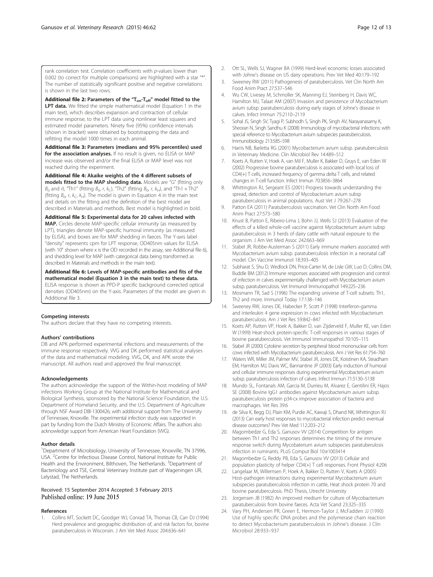<span id="page-11-0"></span>rank correlation test. Correlation coefficients with p-values lower than 0.002 (to correct for multiple comparisons) are highlighted with a star "\*". The number of statistically significant positive and negative correlations is shown in the last two rows.

[Additional file 2:](http://www.veterinaryresearch.org/content/supplementary/s13567-015-0204-1-s2.docx) Parameters of the " $T_{on}$ - $T_{off}$ " model fitted to the LPT data. We fitted the simple mathematical model (Equation [1](#page-3-0) in the main text), which describes expansion and contraction of cellular immune response, to the LPT data using nonlinear least squares and estimated model parameters. Ninety five (95%) confidence intervals (shown in bracket) were obtained by bootstrapping the data and refitting the model 1000 times in each animal.

[Additional file 3:](http://www.veterinaryresearch.org/content/supplementary/s13567-015-0204-1-s3.docx) Parameters (medians and 95% percentiles) used for the association analyses. If no result is given, no ELISA or MAP increase was observed and/or the final ELISA or MAP level was not reached during the experiment.

[Additional file 4:](http://www.veterinaryresearch.org/content/supplementary/s13567-015-0204-1-s4.docx) Akaike weights of the 4 different subsets of models fitted to the MAP shedding data. Models are "G" (fitting only  $B_0$  and r), "Th1" (fitting  $B_0$ , r,  $k_C$ ), "Th2" (fitting  $B_0$ , r,  $k_H$ ), and "Th1 + Th2" (fitting  $B_0$ , r,  $k_C$ ,  $k_H$ ). The model is given in Equation [4](#page-4-0) in the main text and details on the fitting and the definition of the best model are described in [Materials and methods](#page-2-0). Best model is highlighted in bold.

[Additional file 5:](http://www.veterinaryresearch.org/content/supplementary/s13567-015-0204-1-s5.docx) Experimental data for 20 calves infected with MAP. Circles denote MAP-specific cellular immunity (as measured by LPT), triangles denote MAP-specific humoral immunity (as measured by ELISA), and boxes are for MAP shedding in faeces. The Y-axis label "density" represents cpm for LPT response, OD405nm values for ELISA (with  $10^x$  shown where x is the OD recorded in the assay, see Additional file 6), and shedding level for MAP (with categorical data being transformed as described in [Materials and methods](#page-2-0) in the main text).

[Additional file 6:](http://www.veterinaryresearch.org/content/supplementary/s13567-015-0204-1-s6.docx) Levels of MAP-specific antibodies and fits of the mathematical model (Equation [3](#page-3-0) in the main text) to these data. ELISA response is shown as PPD-P specific background corrected optical densities (OD405nm) on the Y-axis. Parameters of the model are given in Additional file 3.

#### Competing interests

The authors declare that they have no competing interests.

#### Authors' contributions

DB and APK performed experimental infections and measurements of the immune response respectively. VVG and DK performed statistical analyses of the data and mathematical modeling. VVG, DK, and APK wrote the manuscript. All authors read and approved the final manuscript.

#### Acknowledgements

The authors acknowledge the support of the Within-host modeling of MAP infections Working Group at the National Institute for Mathematical and Biological Synthesis, sponsored by the National Science Foundation, the U.S. Department of Homeland Security, and the U.S. Department of Agriculture through NSF Award DBI-1300426, with additional support from The University of Tennessee, Knoxville. The experimental infection study was supported in part by funding from the Dutch Ministry of Economic Affairs. The authors also acknowledge support from American Heart Foundation (WG).

#### Author details

<sup>1</sup>Department of Microbiology, University of Tennessee, Knoxville, TN 37996, USA. <sup>2</sup> Centre for Infectious Disease Control, National Institute for Public Health and the Environment, Bilthoven, The Netherlands. <sup>3</sup>Department of Bacteriology and TSE, Central Veterinary Institute part of Wageningen UR, Lelystad, The Netherlands.

#### Received: 15 September 2014 Accepted: 3 February 2015 Published online: 19 June 2015

#### References

1. Collins MT, Sockett DC, Goodger WJ, Conrad TA, Thomas CB, Carr DJ (1994) Herd prevalence and geographic distribution of, and risk factors for, bovine paratuberculosis in Wisconsin. J Am Vet Med Assoc 204:636–641

- 2. Ott SL, Wells SJ, Wagner BA (1999) Herd-level economic losses associated with Johne's disease on US dairy operations. Prev Vet Med 40:179–192
- 3. Sweeney RW (2011) Pathogenesis of paratuberculosis. Vet Clin North Am Food Anim Pract 27:537–546
- 4. Wu CW, Livesey M, Schmoller SK, Manning EJ, Steinberg H, Davis WC, Hamilton MJ, Talaat AM (2007) Invasion and persistence of Mycobacterium avium subsp. paratuberculosis during early stages of Johne's disease in calves. Infect Immun 75:2110–2119
- 5. Sohal JS, Singh SV, Tyagi P, Subhodh S, Singh PK, Singh AV, Narayanasamy K, Sheoran N, Singh Sandhu K (2008) Immunology of mycobacterial infections: with special reference to Mycobacterium avium subspecies paratuberculosis. Immunobiology 213:585–598
- 6. Harris NB, Barletta RG (2001) Mycobacterium avium subsp. paratuberculosis in Veterinary Medicine. Clin Microbiol Rev 14:489–512
- 7. Koets A, Rutten V, Hoek A, van Mil F, Muller K, Bakker D, Gruys E, van Eden W (2002) Progressive bovine paratuberculosis is associated with local loss of CD4(+) T cells, increased frequency of gamma delta T cells, and related changes in T-cell function. Infect Immun 70:3856–3864
- 8. Whittington RJ, Sergeant ES (2001) Progress towards understanding the spread, detection and control of Mycobacterium avium subsp paratuberculosis in animal populations. Aust Vet J 79:267–278
- 9. Patton EA (2011) Paratuberculosis vaccination. Vet Clin North Am Food Anim Pract 27:573–580
- 10. Knust B, Patton E, Ribeiro-Lima J, Bohn JJ, Wells SJ (2013) Evaluation of the effects of a killed whole-cell vaccine against Mycobacterium avium subsp paratuberculosis in 3 herds of dairy cattle with natural exposure to the organism. J Am Vet Med Assoc 242:663–669
- 11. Stabel JR, Robbe-Austerman S (2011) Early immune markers associated with Mycobacterium avium subsp. paratuberculosis infection in a neonatal calf model. Clin Vaccine Immunol 18:393–405
- 12. Subharat S, Shu D, Wedlock DN, Price-Carter M, de Lisle GW, Luo D, Collins DM, Buddle BM (2012) Immune responses associated with progression and control of infection in calves experimentally challenged with Mycobacterium avium subsp. paratuberculosis. Vet Immunol Immunopathol 149:225–236
- 13. Mosmann TR, Sad S (1996) The expanding universe of T-cell subsets: Th1, Th2 and more. Immunol Today 17:138–146
- 14. Sweeney RW, Jones DE, Habecker P, Scott P (1998) Interferon-gamma and interleukin 4 gene expression in cows infected with Mycobacterium paratuberculosis. Am J Vet Res 59:842–847
- 15. Koets AP, Rutten VP, Hoek A, Bakker D, van Zijderveld F, Muller KE, van Eden W (1999) Heat-shock protein-specific T-cell responses in various stages of bovine paratuberculosis. Vet Immunol Immunopathol 70:105–115
- 16. Stabel JR (2000) Cytokine secretion by peripheral blood mononuclear cells from cows infected with Mycobacterium paratuberculosis. Am J Vet Res 61:754–760
- 17. Waters WR, Miller JM, Palmer MV, Stabel JR, Jones DE, Koistinen KA, Steadham EM, Hamilton MJ, Davis WC, Bannantine JP (2003) Early induction of humoral and cellular immune responses during experimental Mycobacterium avium subsp. paratuberculosis infection of calves. Infect Immun 71:5130–5138
- 18. Mundo SL, Fontanals AM, Garcia M, Durrieu M, Alvarez E, Gentilini ER, Hajos SE (2008) Bovine IgG1 antibodies against Mycobacterium avium subsp. paratuberculosis protein p34-cx improve association of bacteria and macrophages. Vet Res 39:6
- 19. de Silva K, Begg DJ, Plain KM, Purdie AC, Kawaji S, Dhand NK, Whittington RJ (2013) Can early host responses to mycobacterial infection predict eventual disease outcomes? Prev Vet Med 112:203–212
- 20. Magombedze G, Eda S, Ganusov VV (2014) Competition for antigen between Th1 and Th2 responses determines the timing of the immune response switch during Mycobaterium avium subspecies paratuberulosis infection in ruminants. PLoS Comput Biol 10:e1003414
- 21. Magombedze G, Reddy PB, Eda S, Ganusov VV (2013) Cellular and population plasticity of helper CD4(+) T cell responses. Front Physiol 4:206
- 22. Langelaar M, Willemsen P, Hoek A, Bakker D, Rutten V, Koets A (2005) Host–pathogen interactions during experimental Mycobacterium avium subspecies paratuberculosis infection in cattle, Heat shock protein 70 and bovine paratuberculosis. PhD Thesis, Utrecht University
- 23. Jorgensen JB (1982) An improved medium for culture of Mycobacterium paratuberculosis from bovine faeces. Acta Vet Scand 23:325–335
- 24. Vary PH, Andersen PR, Green E, Hermon-Taylor J, McFadden JJ (1990) Use of highly specific DNA probes and the polymerase chain reaction to detect Mycobacterium paratuberculosis in Johne's disease. J Clin Microbiol 28:933–937